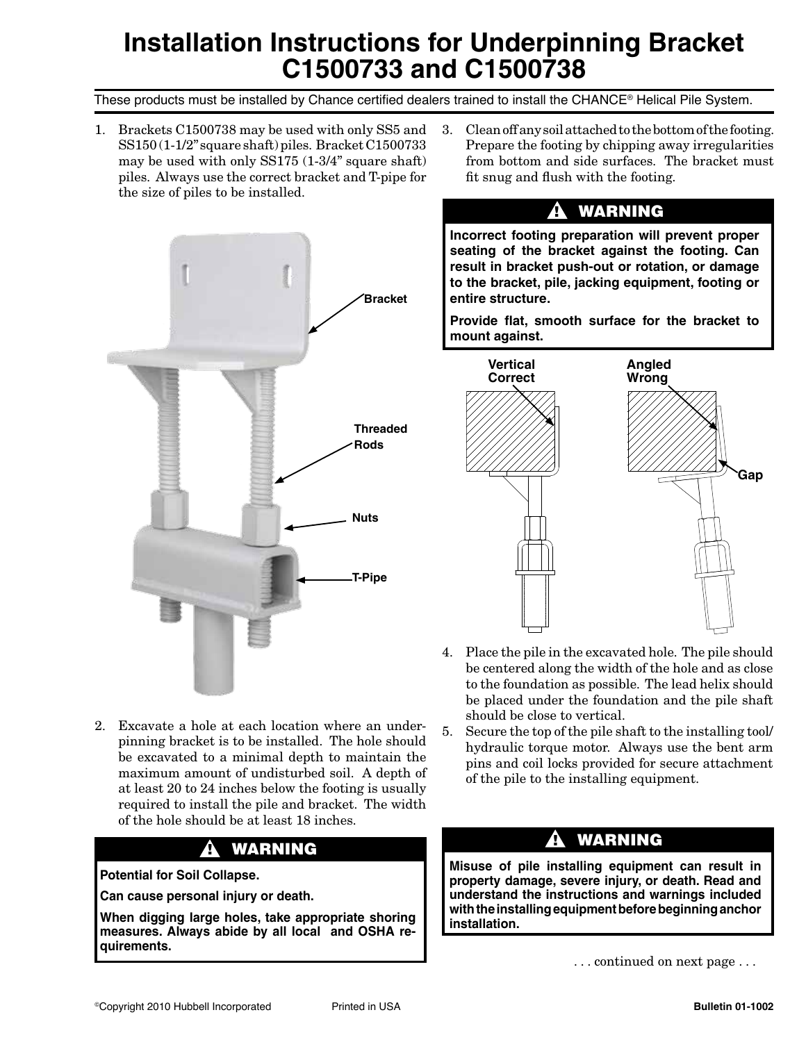# **Installation Instructions for Underpinning Bracket C1500733 and C1500738**

These products must be installed by Chance certified dealers trained to install the CHANCE® Helical Pile System.

1. Brackets C1500738 may be used with only SS5 and SS150 (1-1/2"square shaft) piles. Bracket C1500733 may be used with only SS175 (1-3/4" square shaft) piles. Always use the correct bracket and T-pipe for the size of piles to be installed.



3. Clean off any soil attached to the bottom of the footing. Prepare the footing by chipping away irregularities from bottom and side surfaces. The bracket must fit snug and flush with the footing.

### **WARNING**

**Incorrect footing preparation will prevent proper seating of the bracket against the footing. Can result in bracket push-out or rotation, or damage to the bracket, pile, jacking equipment, footing or entire structure.**

**Provide flat, smooth surface for the bracket to mount against.**



- 4. Place the pile in the excavated hole. The pile should be centered along the width of the hole and as close to the foundation as possible. The lead helix should be placed under the foundation and the pile shaft should be close to vertical.
- 5. Secure the top of the pile shaft to the installing tool/ hydraulic torque motor. Always use the bent arm pins and coil locks provided for secure attachment of the pile to the installing equipment.
- 2. Excavate a hole at each location where an underpinning bracket is to be installed. The hole should be excavated to a minimal depth to maintain the maximum amount of undisturbed soil. A depth of at least 20 to 24 inches below the footing is usually required to install the pile and bracket. The width of the hole should be at least 18 inches.

#### ${\bf A}$  warning

**Potential for Soil Collapse.**

**Can cause personal injury or death.**

**When digging large holes, take appropriate shoring measures. Always abide by all local and OSHA requirements.**

**WARNING** 

**Misuse of pile installing equipment can result in property damage, severe injury, or death. Read and understand the instructions and warnings included with the installing equipment before beginning anchor installation.**

 . . . continued on next page . . .